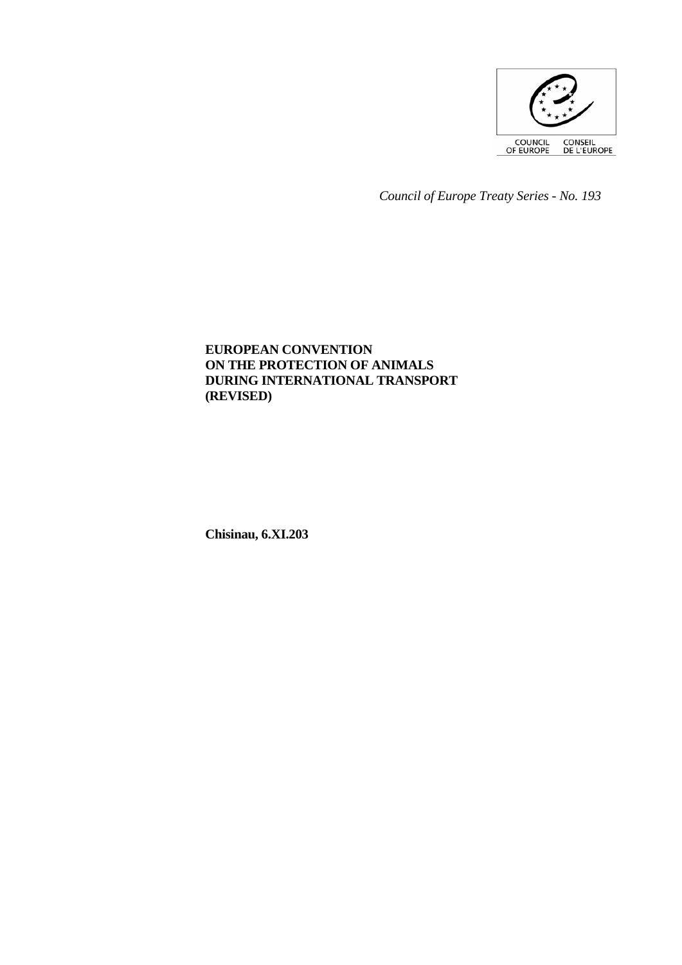

 *Council of Europe Treaty Series - No. 193* 

### **EUROPEAN CONVENTION ON THE PROTECTION OF ANIMALS DURING INTERNATIONAL TRANSPORT (REVISED)**

**Chisinau, 6.XI.203**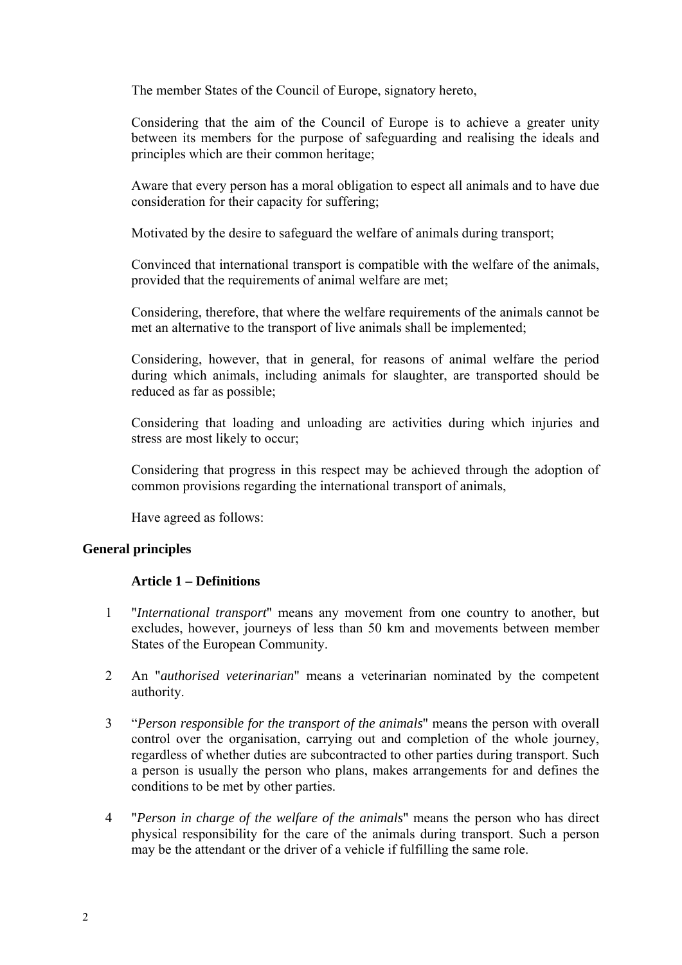The member States of the Council of Europe, signatory hereto,

 Considering that the aim of the Council of Europe is to achieve a greater unity between its members for the purpose of safeguarding and realising the ideals and principles which are their common heritage;

 Aware that every person has a moral obligation to espect all animals and to have due consideration for their capacity for suffering;

Motivated by the desire to safeguard the welfare of animals during transport;

 Convinced that international transport is compatible with the welfare of the animals, provided that the requirements of animal welfare are met;

 Considering, therefore, that where the welfare requirements of the animals cannot be met an alternative to the transport of live animals shall be implemented;

 Considering, however, that in general, for reasons of animal welfare the period during which animals, including animals for slaughter, are transported should be reduced as far as possible;

 Considering that loading and unloading are activities during which injuries and stress are most likely to occur;

 Considering that progress in this respect may be achieved through the adoption of common provisions regarding the international transport of animals,

Have agreed as follows:

## **General principles**

## **Article 1 – Definitions**

- 1 "*International transport*" means any movement from one country to another, but excludes, however, journeys of less than 50 km and movements between member States of the European Community.
- 2 An "*authorised veterinarian*" means a veterinarian nominated by the competent authority.
- 3 "*Person responsible for the transport of the animals*" means the person with overall control over the organisation, carrying out and completion of the whole journey, regardless of whether duties are subcontracted to other parties during transport. Such a person is usually the person who plans, makes arrangements for and defines the conditions to be met by other parties.
- 4 "*Person in charge of the welfare of the animals*" means the person who has direct physical responsibility for the care of the animals during transport. Such a person may be the attendant or the driver of a vehicle if fulfilling the same role.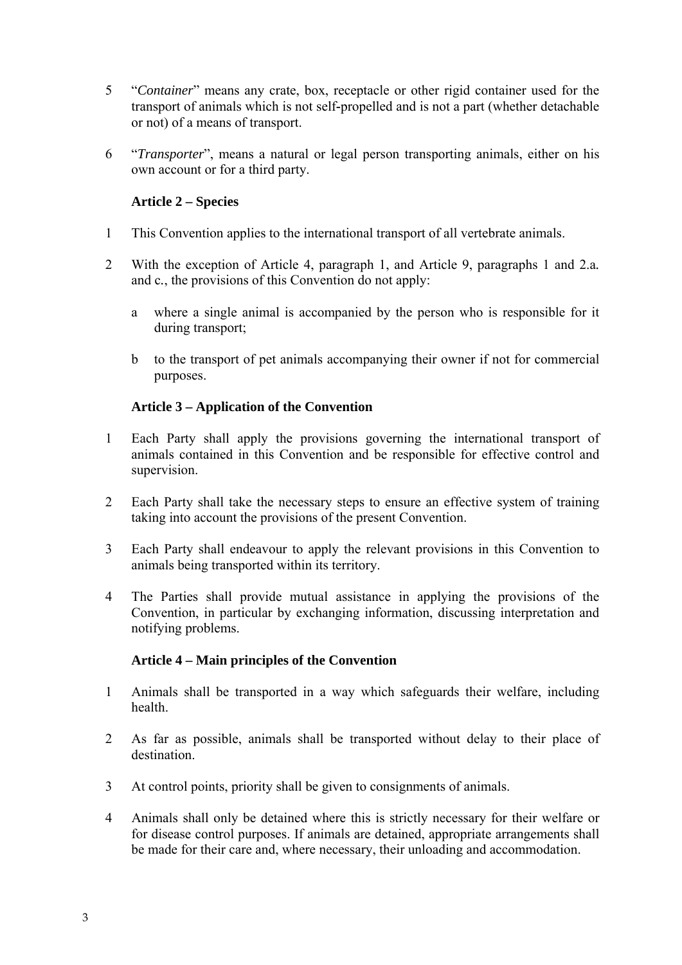- 5 "*Container*" means any crate, box, receptacle or other rigid container used for the transport of animals which is not self**-**propelled and is not a part (whether detachable or not) of a means of transport.
- 6 "*Transporter*", means a natural or legal person transporting animals, either on his own account or for a third party.

## **Article 2 – Species**

- 1 This Convention applies to the international transport of all vertebrate animals.
- 2 With the exception of Article 4, paragraph 1, and Article 9, paragraphs 1 and 2.a*.* and c*.*, the provisions of this Convention do not apply:
	- a where a single animal is accompanied by the person who is responsible for it during transport;
	- b to the transport of pet animals accompanying their owner if not for commercial purposes.

## **Article 3 – Application of the Convention**

- 1 Each Party shall apply the provisions governing the international transport of animals contained in this Convention and be responsible for effective control and supervision.
- 2 Each Party shall take the necessary steps to ensure an effective system of training taking into account the provisions of the present Convention.
- 3 Each Party shall endeavour to apply the relevant provisions in this Convention to animals being transported within its territory.
- 4 The Parties shall provide mutual assistance in applying the provisions of the Convention, in particular by exchanging information, discussing interpretation and notifying problems.

## **Article 4 – Main principles of the Convention**

- 1 Animals shall be transported in a way which safeguards their welfare, including health.
- 2 As far as possible, animals shall be transported without delay to their place of destination.
- 3 At control points, priority shall be given to consignments of animals.
- 4 Animals shall only be detained where this is strictly necessary for their welfare or for disease control purposes. If animals are detained, appropriate arrangements shall be made for their care and, where necessary, their unloading and accommodation.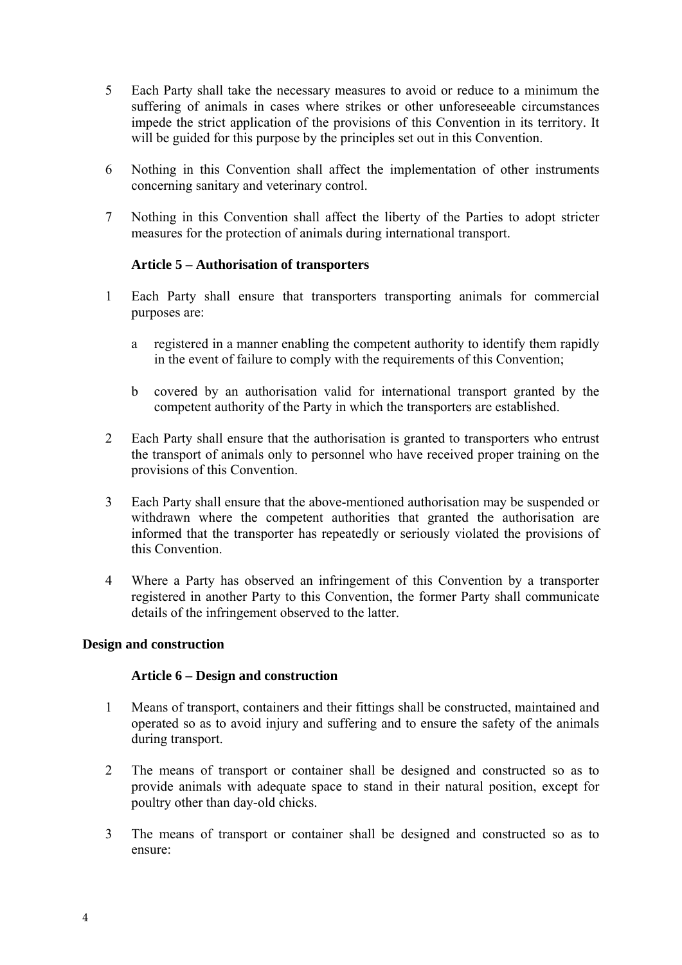- 5 Each Party shall take the necessary measures to avoid or reduce to a minimum the suffering of animals in cases where strikes or other unforeseeable circumstances impede the strict application of the provisions of this Convention in its territory. It will be guided for this purpose by the principles set out in this Convention.
- 6 Nothing in this Convention shall affect the implementation of other instruments concerning sanitary and veterinary control.
- 7 Nothing in this Convention shall affect the liberty of the Parties to adopt stricter measures for the protection of animals during international transport.

### **Article 5 – Authorisation of transporters**

- 1 Each Party shall ensure that transporters transporting animals for commercial purposes are:
	- a registered in a manner enabling the competent authority to identify them rapidly in the event of failure to comply with the requirements of this Convention;
	- b covered by an authorisation valid for international transport granted by the competent authority of the Party in which the transporters are established.
- 2 Each Party shall ensure that the authorisation is granted to transporters who entrust the transport of animals only to personnel who have received proper training on the provisions of this Convention.
- 3 Each Party shall ensure that the above-mentioned authorisation may be suspended or withdrawn where the competent authorities that granted the authorisation are informed that the transporter has repeatedly or seriously violated the provisions of this Convention.
- 4 Where a Party has observed an infringement of this Convention by a transporter registered in another Party to this Convention, the former Party shall communicate details of the infringement observed to the latter.

#### **Design and construction**

#### **Article 6 – Design and construction**

- 1 Means of transport, containers and their fittings shall be constructed, maintained and operated so as to avoid injury and suffering and to ensure the safety of the animals during transport.
- 2 The means of transport or container shall be designed and constructed so as to provide animals with adequate space to stand in their natural position, except for poultry other than day-old chicks.
- 3 The means of transport or container shall be designed and constructed so as to ensure: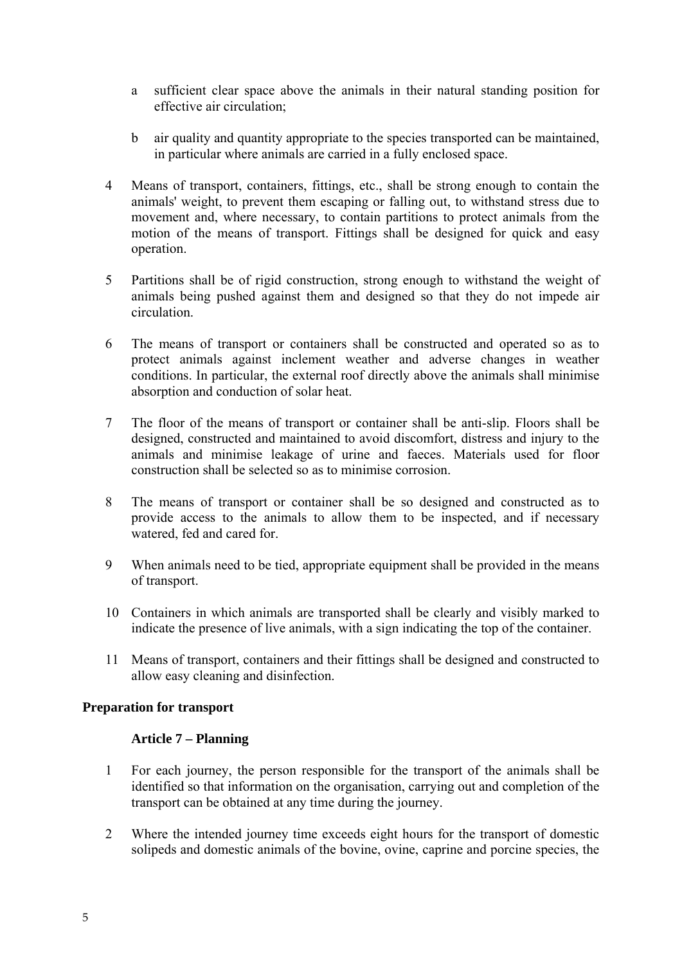- a sufficient clear space above the animals in their natural standing position for effective air circulation;
- b air quality and quantity appropriate to the species transported can be maintained, in particular where animals are carried in a fully enclosed space.
- 4 Means of transport, containers, fittings, etc., shall be strong enough to contain the animals' weight, to prevent them escaping or falling out, to withstand stress due to movement and, where necessary, to contain partitions to protect animals from the motion of the means of transport. Fittings shall be designed for quick and easy operation.
- 5 Partitions shall be of rigid construction, strong enough to withstand the weight of animals being pushed against them and designed so that they do not impede air circulation.
- 6 The means of transport or containers shall be constructed and operated so as to protect animals against inclement weather and adverse changes in weather conditions. In particular, the external roof directly above the animals shall minimise absorption and conduction of solar heat.
- 7 The floor of the means of transport or container shall be anti-slip. Floors shall be designed, constructed and maintained to avoid discomfort, distress and injury to the animals and minimise leakage of urine and faeces. Materials used for floor construction shall be selected so as to minimise corrosion.
- 8 The means of transport or container shall be so designed and constructed as to provide access to the animals to allow them to be inspected, and if necessary watered, fed and cared for.
- 9 When animals need to be tied, appropriate equipment shall be provided in the means of transport.
- 10 Containers in which animals are transported shall be clearly and visibly marked to indicate the presence of live animals, with a sign indicating the top of the container.
- 11 Means of transport, containers and their fittings shall be designed and constructed to allow easy cleaning and disinfection.

## **Preparation for transport**

## **Article 7 – Planning**

- 1 For each journey, the person responsible for the transport of the animals shall be identified so that information on the organisation, carrying out and completion of the transport can be obtained at any time during the journey.
- 2 Where the intended journey time exceeds eight hours for the transport of domestic solipeds and domestic animals of the bovine, ovine, caprine and porcine species, the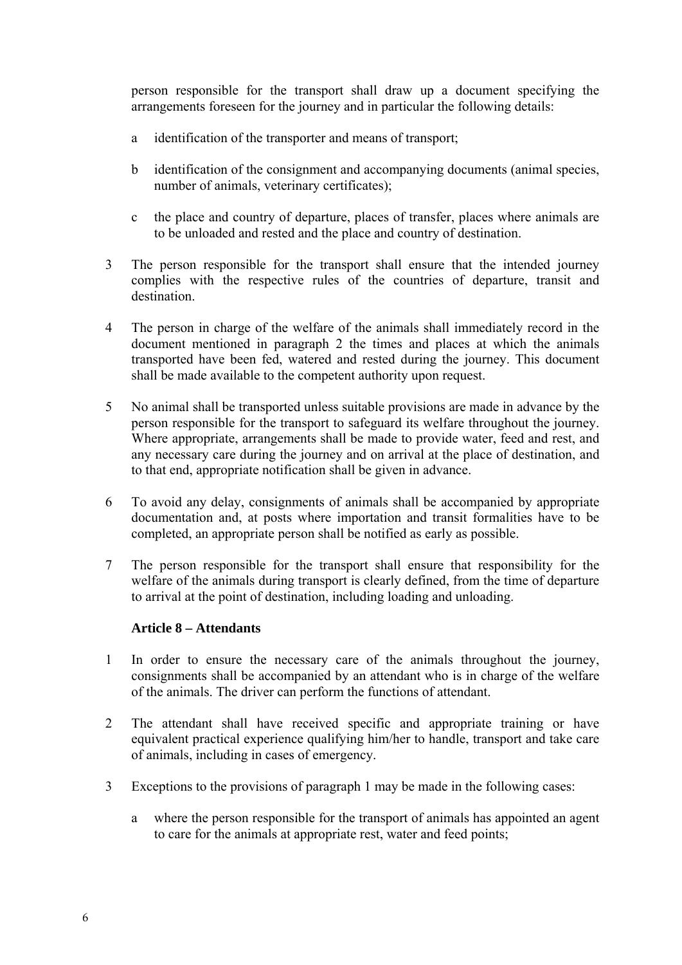person responsible for the transport shall draw up a document specifying the arrangements foreseen for the journey and in particular the following details:

- a identification of the transporter and means of transport;
- b identification of the consignment and accompanying documents (animal species, number of animals, veterinary certificates);
- c the place and country of departure, places of transfer, places where animals are to be unloaded and rested and the place and country of destination.
- 3 The person responsible for the transport shall ensure that the intended journey complies with the respective rules of the countries of departure, transit and destination.
- 4 The person in charge of the welfare of the animals shall immediately record in the document mentioned in paragraph 2 the times and places at which the animals transported have been fed, watered and rested during the journey. This document shall be made available to the competent authority upon request.
- 5 No animal shall be transported unless suitable provisions are made in advance by the person responsible for the transport to safeguard its welfare throughout the journey. Where appropriate, arrangements shall be made to provide water, feed and rest, and any necessary care during the journey and on arrival at the place of destination, and to that end, appropriate notification shall be given in advance.
- 6 To avoid any delay, consignments of animals shall be accompanied by appropriate documentation and, at posts where importation and transit formalities have to be completed, an appropriate person shall be notified as early as possible.
- 7 The person responsible for the transport shall ensure that responsibility for the welfare of the animals during transport is clearly defined, from the time of departure to arrival at the point of destination, including loading and unloading.

## **Article 8 – Attendants**

- 1 In order to ensure the necessary care of the animals throughout the journey, consignments shall be accompanied by an attendant who is in charge of the welfare of the animals. The driver can perform the functions of attendant.
- 2 The attendant shall have received specific and appropriate training or have equivalent practical experience qualifying him/her to handle, transport and take care of animals, including in cases of emergency.
- 3 Exceptions to the provisions of paragraph 1 may be made in the following cases:
	- a where the person responsible for the transport of animals has appointed an agent to care for the animals at appropriate rest, water and feed points;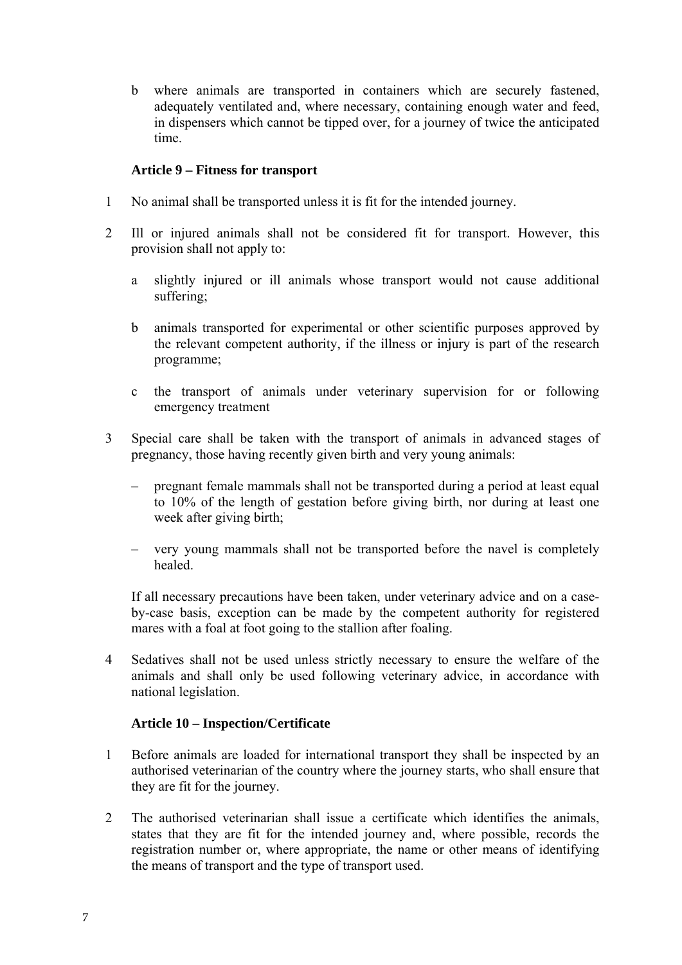b where animals are transported in containers which are securely fastened, adequately ventilated and, where necessary, containing enough water and feed, in dispensers which cannot be tipped over, for a journey of twice the anticipated time.

### **Article 9 – Fitness for transport**

- 1 No animal shall be transported unless it is fit for the intended journey.
- 2 Ill or injured animals shall not be considered fit for transport. However, this provision shall not apply to:
	- a slightly injured or ill animals whose transport would not cause additional suffering;
	- b animals transported for experimental or other scientific purposes approved by the relevant competent authority, if the illness or injury is part of the research programme;
	- c the transport of animals under veterinary supervision for or following emergency treatment
- 3 Special care shall be taken with the transport of animals in advanced stages of pregnancy, those having recently given birth and very young animals:
	- pregnant female mammals shall not be transported during a period at least equal to 10% of the length of gestation before giving birth, nor during at least one week after giving birth;
	- very young mammals shall not be transported before the navel is completely healed.

 If all necessary precautions have been taken, under veterinary advice and on a caseby-case basis, exception can be made by the competent authority for registered mares with a foal at foot going to the stallion after foaling.

 4 Sedatives shall not be used unless strictly necessary to ensure the welfare of the animals and shall only be used following veterinary advice, in accordance with national legislation.

#### **Article 10 – Inspection/Certificate**

- 1 Before animals are loaded for international transport they shall be inspected by an authorised veterinarian of the country where the journey starts, who shall ensure that they are fit for the journey.
- 2 The authorised veterinarian shall issue a certificate which identifies the animals, states that they are fit for the intended journey and, where possible, records the registration number or, where appropriate, the name or other means of identifying the means of transport and the type of transport used.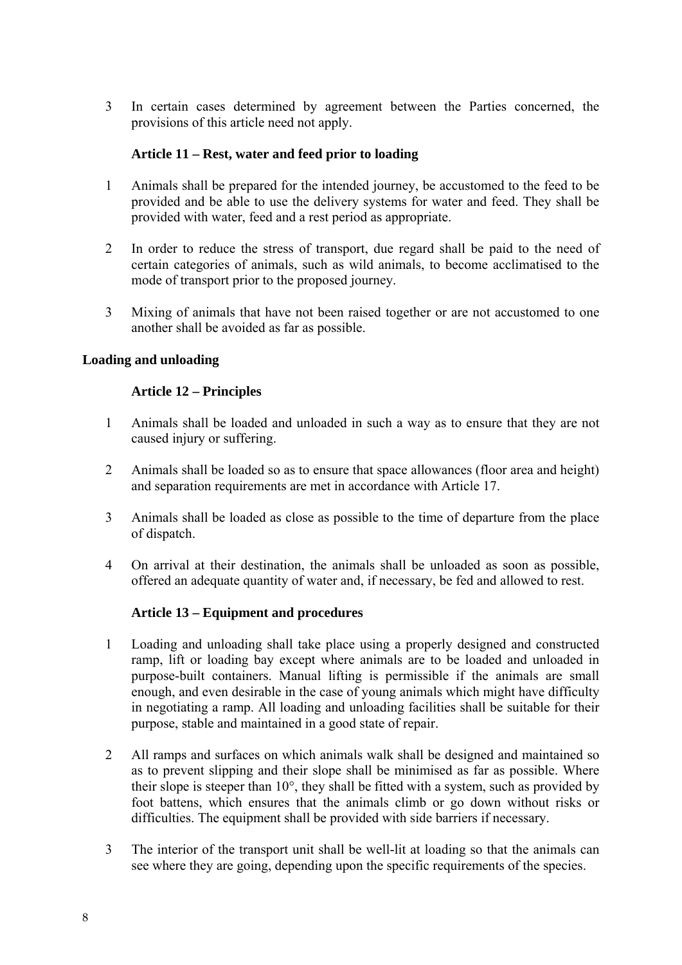3 In certain cases determined by agreement between the Parties concerned, the provisions of this article need not apply.

## **Article 11 – Rest, water and feed prior to loading**

- 1 Animals shall be prepared for the intended journey, be accustomed to the feed to be provided and be able to use the delivery systems for water and feed. They shall be provided with water, feed and a rest period as appropriate.
- 2 In order to reduce the stress of transport, due regard shall be paid to the need of certain categories of animals, such as wild animals, to become acclimatised to the mode of transport prior to the proposed journey.
- 3 Mixing of animals that have not been raised together or are not accustomed to one another shall be avoided as far as possible.

#### **Loading and unloading**

#### **Article 12 – Principles**

- 1 Animals shall be loaded and unloaded in such a way as to ensure that they are not caused injury or suffering.
- 2 Animals shall be loaded so as to ensure that space allowances (floor area and height) and separation requirements are met in accordance with Article 17.
- 3 Animals shall be loaded as close as possible to the time of departure from the place of dispatch.
- 4 On arrival at their destination, the animals shall be unloaded as soon as possible, offered an adequate quantity of water and, if necessary, be fed and allowed to rest.

#### **Article 13 – Equipment and procedures**

- 1 Loading and unloading shall take place using a properly designed and constructed ramp, lift or loading bay except where animals are to be loaded and unloaded in purpose-built containers. Manual lifting is permissible if the animals are small enough, and even desirable in the case of young animals which might have difficulty in negotiating a ramp. All loading and unloading facilities shall be suitable for their purpose, stable and maintained in a good state of repair.
- 2 All ramps and surfaces on which animals walk shall be designed and maintained so as to prevent slipping and their slope shall be minimised as far as possible. Where their slope is steeper than 10°, they shall be fitted with a system, such as provided by foot battens, which ensures that the animals climb or go down without risks or difficulties. The equipment shall be provided with side barriers if necessary.
- 3 The interior of the transport unit shall be well-lit at loading so that the animals can see where they are going, depending upon the specific requirements of the species.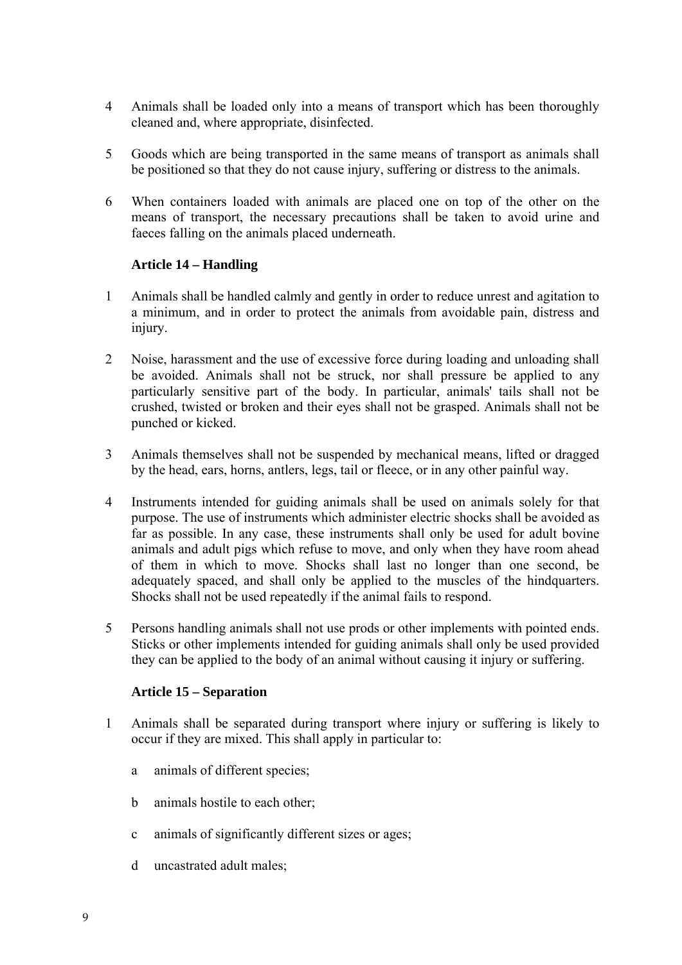- 4 Animals shall be loaded only into a means of transport which has been thoroughly cleaned and, where appropriate, disinfected.
- 5 Goods which are being transported in the same means of transport as animals shall be positioned so that they do not cause injury, suffering or distress to the animals.
- 6 When containers loaded with animals are placed one on top of the other on the means of transport, the necessary precautions shall be taken to avoid urine and faeces falling on the animals placed underneath.

## **Article 14 – Handling**

- 1 Animals shall be handled calmly and gently in order to reduce unrest and agitation to a minimum, and in order to protect the animals from avoidable pain, distress and injury.
- 2 Noise, harassment and the use of excessive force during loading and unloading shall be avoided. Animals shall not be struck, nor shall pressure be applied to any particularly sensitive part of the body. In particular, animals' tails shall not be crushed, twisted or broken and their eyes shall not be grasped. Animals shall not be punched or kicked.
- 3 Animals themselves shall not be suspended by mechanical means, lifted or dragged by the head, ears, horns, antlers, legs, tail or fleece, or in any other painful way.
- 4 Instruments intended for guiding animals shall be used on animals solely for that purpose. The use of instruments which administer electric shocks shall be avoided as far as possible. In any case, these instruments shall only be used for adult bovine animals and adult pigs which refuse to move, and only when they have room ahead of them in which to move. Shocks shall last no longer than one second, be adequately spaced, and shall only be applied to the muscles of the hindquarters. Shocks shall not be used repeatedly if the animal fails to respond.
- 5 Persons handling animals shall not use prods or other implements with pointed ends. Sticks or other implements intended for guiding animals shall only be used provided they can be applied to the body of an animal without causing it injury or suffering.

## **Article 15 – Separation**

- 1 Animals shall be separated during transport where injury or suffering is likely to occur if they are mixed. This shall apply in particular to:
	- a animals of different species;
	- b animals hostile to each other;
	- c animals of significantly different sizes or ages;
	- d uncastrated adult males;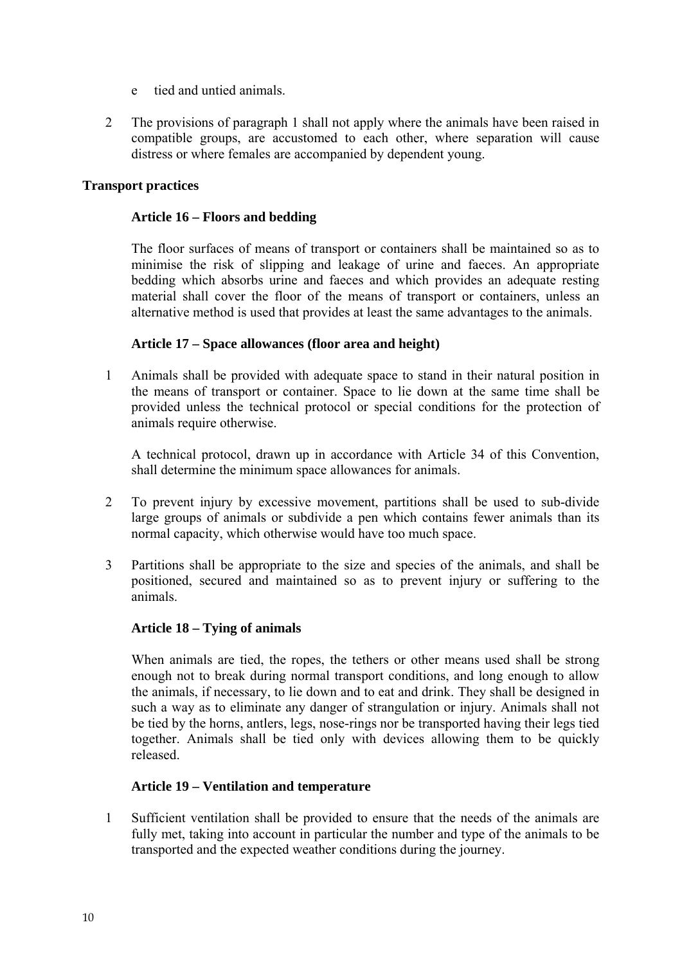- e tied and untied animals.
- 2 The provisions of paragraph 1 shall not apply where the animals have been raised in compatible groups, are accustomed to each other, where separation will cause distress or where females are accompanied by dependent young.

### **Transport practices**

### **Article 16 – Floors and bedding**

 The floor surfaces of means of transport or containers shall be maintained so as to minimise the risk of slipping and leakage of urine and faeces. An appropriate bedding which absorbs urine and faeces and which provides an adequate resting material shall cover the floor of the means of transport or containers, unless an alternative method is used that provides at least the same advantages to the animals.

### **Article 17 – Space allowances (floor area and height)**

 1 Animals shall be provided with adequate space to stand in their natural position in the means of transport or container. Space to lie down at the same time shall be provided unless the technical protocol or special conditions for the protection of animals require otherwise.

 A technical protocol, drawn up in accordance with Article 34 of this Convention, shall determine the minimum space allowances for animals.

- 2 To prevent injury by excessive movement, partitions shall be used to sub-divide large groups of animals or subdivide a pen which contains fewer animals than its normal capacity, which otherwise would have too much space.
- 3 Partitions shall be appropriate to the size and species of the animals, and shall be positioned, secured and maintained so as to prevent injury or suffering to the animals.

## **Article 18 – Tying of animals**

 When animals are tied, the ropes, the tethers or other means used shall be strong enough not to break during normal transport conditions, and long enough to allow the animals, if necessary, to lie down and to eat and drink. They shall be designed in such a way as to eliminate any danger of strangulation or injury. Animals shall not be tied by the horns, antlers, legs, nose-rings nor be transported having their legs tied together. Animals shall be tied only with devices allowing them to be quickly released.

## **Article 19 – Ventilation and temperature**

 1 Sufficient ventilation shall be provided to ensure that the needs of the animals are fully met, taking into account in particular the number and type of the animals to be transported and the expected weather conditions during the journey.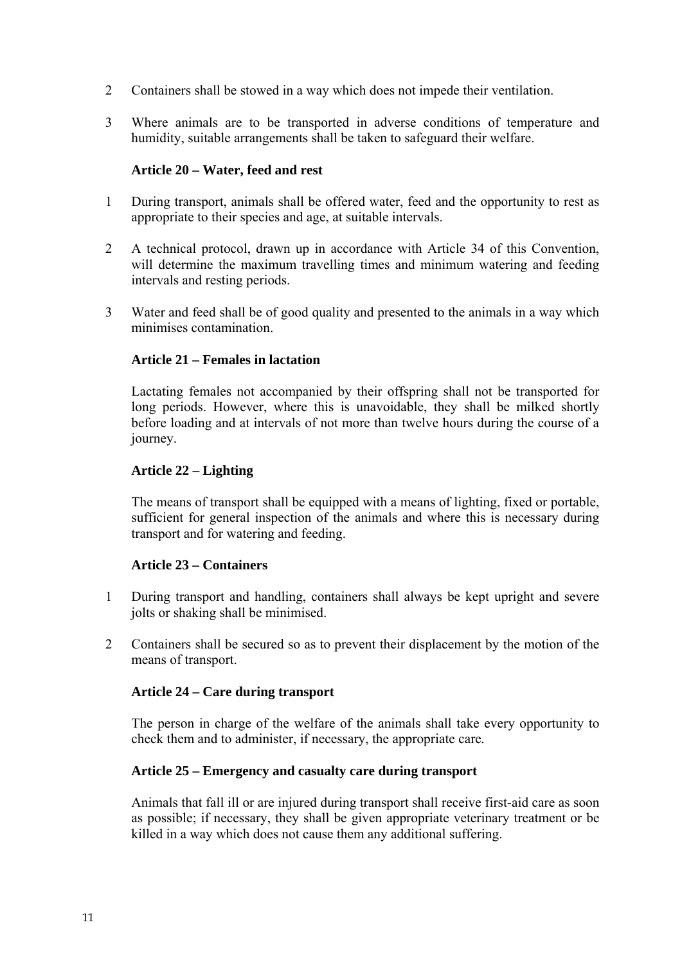- 2 Containers shall be stowed in a way which does not impede their ventilation.
- 3 Where animals are to be transported in adverse conditions of temperature and humidity, suitable arrangements shall be taken to safeguard their welfare.

### **Article 20 – Water, feed and rest**

- 1 During transport, animals shall be offered water, feed and the opportunity to rest as appropriate to their species and age, at suitable intervals.
- 2 A technical protocol, drawn up in accordance with Article 34 of this Convention, will determine the maximum travelling times and minimum watering and feeding intervals and resting periods.
- 3 Water and feed shall be of good quality and presented to the animals in a way which minimises contamination.

### **Article 21 – Females in lactation**

 Lactating females not accompanied by their offspring shall not be transported for long periods. However, where this is unavoidable, they shall be milked shortly before loading and at intervals of not more than twelve hours during the course of a journey.

### **Article 22 – Lighting**

 The means of transport shall be equipped with a means of lighting, fixed or portable, sufficient for general inspection of the animals and where this is necessary during transport and for watering and feeding.

#### **Article 23 – Containers**

- 1 During transport and handling, containers shall always be kept upright and severe jolts or shaking shall be minimised.
- 2 Containers shall be secured so as to prevent their displacement by the motion of the means of transport.

#### **Article 24 – Care during transport**

 The person in charge of the welfare of the animals shall take every opportunity to check them and to administer, if necessary, the appropriate care*.*

#### **Article 25 – Emergency and casualty care during transport**

 Animals that fall ill or are injured during transport shall receive first-aid care as soon as possible; if necessary, they shall be given appropriate veterinary treatment or be killed in a way which does not cause them any additional suffering.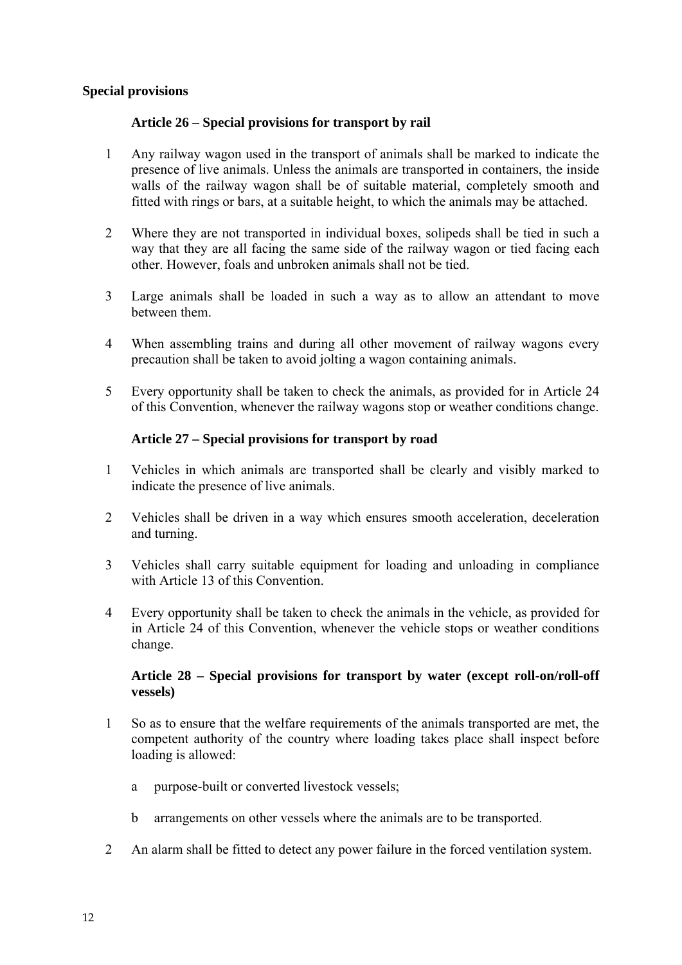### **Special provisions**

### **Article 26 – Special provisions for transport by rail**

- 1 Any railway wagon used in the transport of animals shall be marked to indicate the presence of live animals. Unless the animals are transported in containers, the inside walls of the railway wagon shall be of suitable material, completely smooth and fitted with rings or bars, at a suitable height, to which the animals may be attached.
- 2 Where they are not transported in individual boxes, solipeds shall be tied in such a way that they are all facing the same side of the railway wagon or tied facing each other. However, foals and unbroken animals shall not be tied.
- 3 Large animals shall be loaded in such a way as to allow an attendant to move between them.
- 4 When assembling trains and during all other movement of railway wagons every precaution shall be taken to avoid jolting a wagon containing animals.
- 5 Every opportunity shall be taken to check the animals, as provided for in Article 24 of this Convention, whenever the railway wagons stop or weather conditions change.

### **Article 27 – Special provisions for transport by road**

- 1 Vehicles in which animals are transported shall be clearly and visibly marked to indicate the presence of live animals.
- 2 Vehicles shall be driven in a way which ensures smooth acceleration, deceleration and turning.
- 3 Vehicles shall carry suitable equipment for loading and unloading in compliance with Article 13 of this Convention.
- 4 Every opportunity shall be taken to check the animals in the vehicle, as provided for in Article 24 of this Convention, whenever the vehicle stops or weather conditions change.

### **Article 28 – Special provisions for transport by water (except roll-on/roll-off vessels)**

- 1 So as to ensure that the welfare requirements of the animals transported are met, the competent authority of the country where loading takes place shall inspect before loading is allowed:
	- a purpose-built or converted livestock vessels;
	- b arrangements on other vessels where the animals are to be transported.
- 2 An alarm shall be fitted to detect any power failure in the forced ventilation system.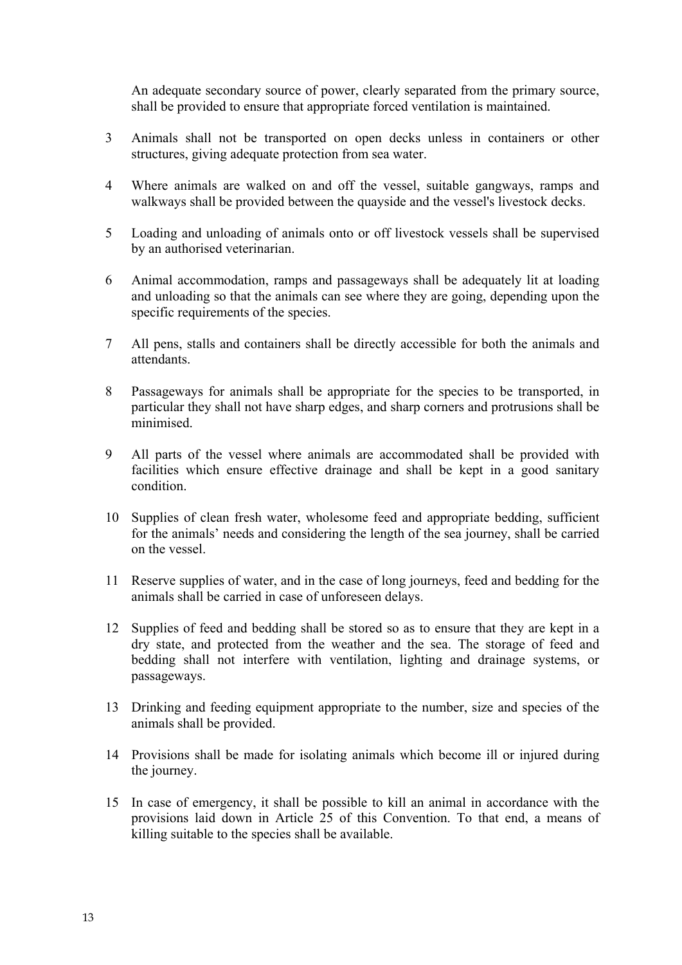An adequate secondary source of power, clearly separated from the primary source, shall be provided to ensure that appropriate forced ventilation is maintained.

- 3 Animals shall not be transported on open decks unless in containers or other structures, giving adequate protection from sea water.
- 4 Where animals are walked on and off the vessel, suitable gangways, ramps and walkways shall be provided between the quayside and the vessel's livestock decks.
- 5 Loading and unloading of animals onto or off livestock vessels shall be supervised by an authorised veterinarian.
- 6 Animal accommodation, ramps and passageways shall be adequately lit at loading and unloading so that the animals can see where they are going, depending upon the specific requirements of the species.
- 7 All pens, stalls and containers shall be directly accessible for both the animals and attendants.
- 8 Passageways for animals shall be appropriate for the species to be transported, in particular they shall not have sharp edges, and sharp corners and protrusions shall be minimised.
- 9 All parts of the vessel where animals are accommodated shall be provided with facilities which ensure effective drainage and shall be kept in a good sanitary condition.
- 10 Supplies of clean fresh water, wholesome feed and appropriate bedding, sufficient for the animals' needs and considering the length of the sea journey, shall be carried on the vessel.
- 11 Reserve supplies of water, and in the case of long journeys, feed and bedding for the animals shall be carried in case of unforeseen delays.
- 12 Supplies of feed and bedding shall be stored so as to ensure that they are kept in a dry state, and protected from the weather and the sea. The storage of feed and bedding shall not interfere with ventilation, lighting and drainage systems, or passageways.
- 13 Drinking and feeding equipment appropriate to the number, size and species of the animals shall be provided.
- 14 Provisions shall be made for isolating animals which become ill or injured during the journey.
- 15 In case of emergency, it shall be possible to kill an animal in accordance with the provisions laid down in Article 25 of this Convention. To that end, a means of killing suitable to the species shall be available.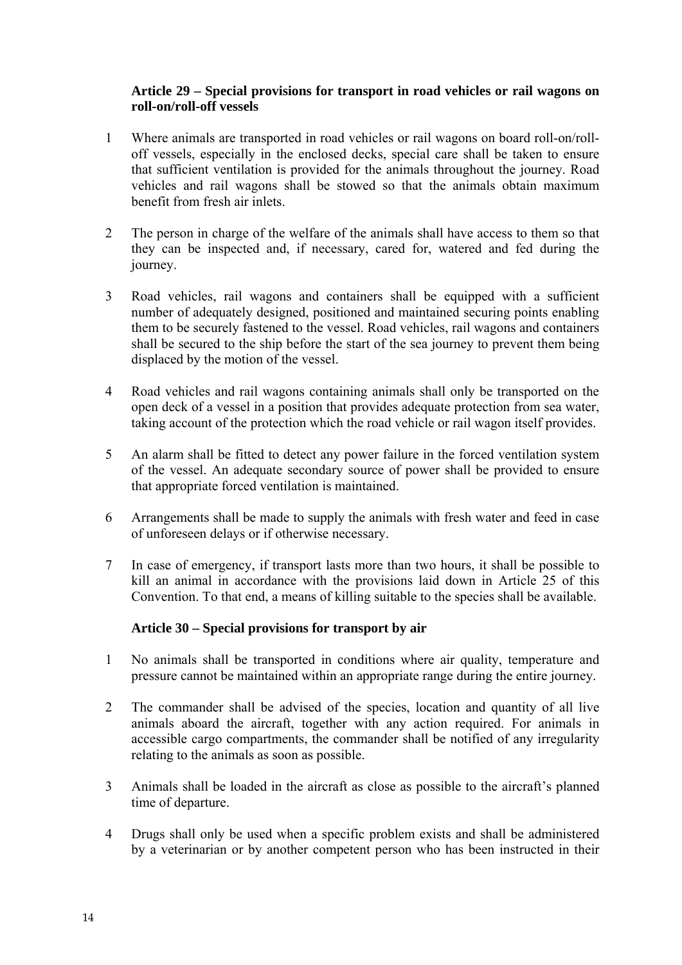### **Article 29 – Special provisions for transport in road vehicles or rail wagons on roll-on/roll-off vessels**

- 1 Where animals are transported in road vehicles or rail wagons on board roll-on/rolloff vessels, especially in the enclosed decks, special care shall be taken to ensure that sufficient ventilation is provided for the animals throughout the journey. Road vehicles and rail wagons shall be stowed so that the animals obtain maximum benefit from fresh air inlets.
- 2 The person in charge of the welfare of the animals shall have access to them so that they can be inspected and, if necessary, cared for, watered and fed during the journey.
- 3 Road vehicles, rail wagons and containers shall be equipped with a sufficient number of adequately designed, positioned and maintained securing points enabling them to be securely fastened to the vessel. Road vehicles, rail wagons and containers shall be secured to the ship before the start of the sea journey to prevent them being displaced by the motion of the vessel.
- 4 Road vehicles and rail wagons containing animals shall only be transported on the open deck of a vessel in a position that provides adequate protection from sea water, taking account of the protection which the road vehicle or rail wagon itself provides.
- 5 An alarm shall be fitted to detect any power failure in the forced ventilation system of the vessel. An adequate secondary source of power shall be provided to ensure that appropriate forced ventilation is maintained.
- 6 Arrangements shall be made to supply the animals with fresh water and feed in case of unforeseen delays or if otherwise necessary.
- 7 In case of emergency, if transport lasts more than two hours, it shall be possible to kill an animal in accordance with the provisions laid down in Article 25 of this Convention. To that end, a means of killing suitable to the species shall be available.

## **Article 30 – Special provisions for transport by air**

- 1 No animals shall be transported in conditions where air quality, temperature and pressure cannot be maintained within an appropriate range during the entire journey.
- 2 The commander shall be advised of the species, location and quantity of all live animals aboard the aircraft, together with any action required. For animals in accessible cargo compartments, the commander shall be notified of any irregularity relating to the animals as soon as possible.
- 3 Animals shall be loaded in the aircraft as close as possible to the aircraft's planned time of departure.
- 4 Drugs shall only be used when a specific problem exists and shall be administered by a veterinarian or by another competent person who has been instructed in their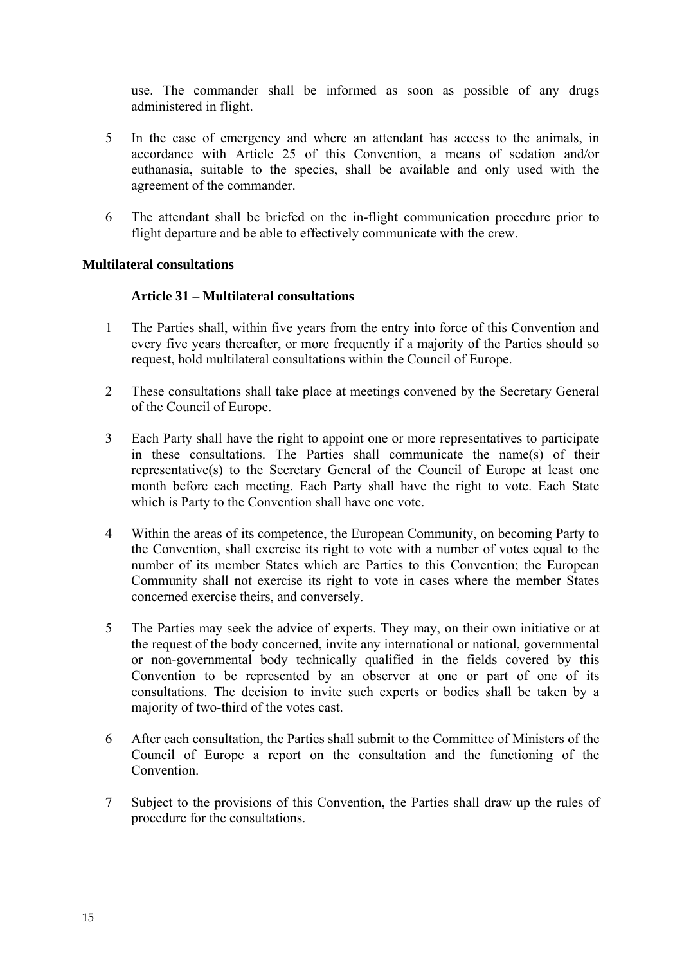use. The commander shall be informed as soon as possible of any drugs administered in flight.

- 5 In the case of emergency and where an attendant has access to the animals, in accordance with Article 25 of this Convention, a means of sedation and/or euthanasia, suitable to the species, shall be available and only used with the agreement of the commander.
- 6 The attendant shall be briefed on the in-flight communication procedure prior to flight departure and be able to effectively communicate with the crew.

### **Multilateral consultations**

### **Article 31 – Multilateral consultations**

- 1 The Parties shall, within five years from the entry into force of this Convention and every five years thereafter, or more frequently if a majority of the Parties should so request, hold multilateral consultations within the Council of Europe.
- 2 These consultations shall take place at meetings convened by the Secretary General of the Council of Europe.
- 3 Each Party shall have the right to appoint one or more representatives to participate in these consultations. The Parties shall communicate the name(s) of their representative(s) to the Secretary General of the Council of Europe at least one month before each meeting. Each Party shall have the right to vote. Each State which is Party to the Convention shall have one vote.
- 4 Within the areas of its competence, the European Community, on becoming Party to the Convention, shall exercise its right to vote with a number of votes equal to the number of its member States which are Parties to this Convention; the European Community shall not exercise its right to vote in cases where the member States concerned exercise theirs, and conversely.
- 5 The Parties may seek the advice of experts. They may, on their own initiative or at the request of the body concerned, invite any international or national, governmental or non-governmental body technically qualified in the fields covered by this Convention to be represented by an observer at one or part of one of its consultations. The decision to invite such experts or bodies shall be taken by a majority of two-third of the votes cast.
- 6 After each consultation, the Parties shall submit to the Committee of Ministers of the Council of Europe a report on the consultation and the functioning of the Convention.
- 7 Subject to the provisions of this Convention, the Parties shall draw up the rules of procedure for the consultations.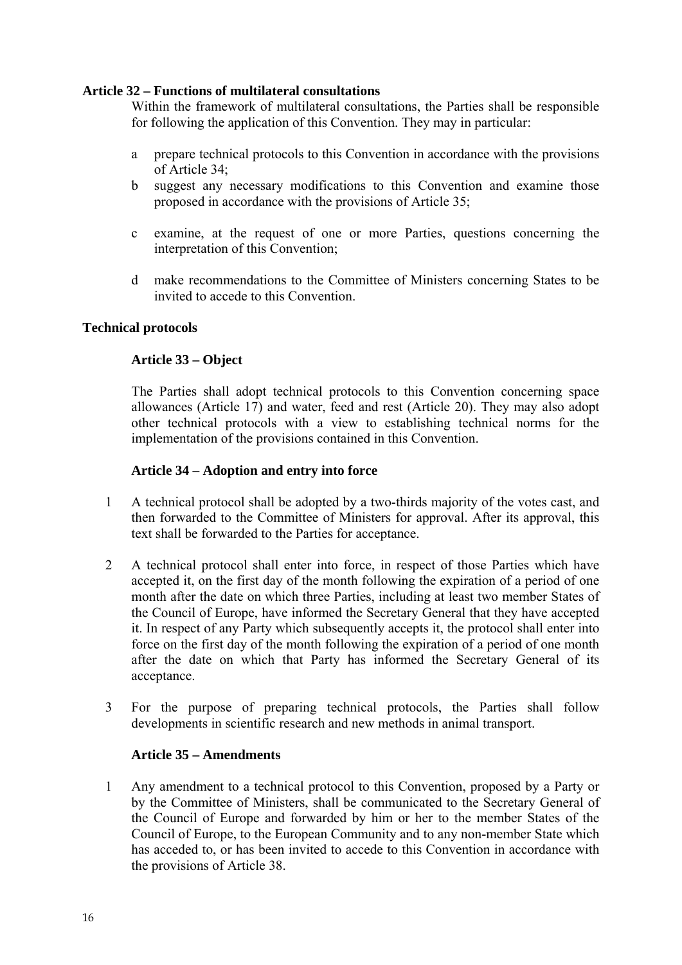### **Article 32 – Functions of multilateral consultations**

 Within the framework of multilateral consultations, the Parties shall be responsible for following the application of this Convention. They may in particular:

- a prepare technical protocols to this Convention in accordance with the provisions of Article 34;
- b suggest any necessary modifications to this Convention and examine those proposed in accordance with the provisions of Article 35;
- c examine, at the request of one or more Parties, questions concerning the interpretation of this Convention;
- d make recommendations to the Committee of Ministers concerning States to be invited to accede to this Convention.

### **Technical protocols**

## **Article 33 – Object**

 The Parties shall adopt technical protocols to this Convention concerning space allowances (Article 17) and water, feed and rest (Article 20). They may also adopt other technical protocols with a view to establishing technical norms for the implementation of the provisions contained in this Convention.

### **Article 34 – Adoption and entry into force**

- 1 A technical protocol shall be adopted by a two-thirds majority of the votes cast, and then forwarded to the Committee of Ministers for approval. After its approval, this text shall be forwarded to the Parties for acceptance.
- 2 A technical protocol shall enter into force, in respect of those Parties which have accepted it, on the first day of the month following the expiration of a period of one month after the date on which three Parties, including at least two member States of the Council of Europe, have informed the Secretary General that they have accepted it. In respect of any Party which subsequently accepts it, the protocol shall enter into force on the first day of the month following the expiration of a period of one month after the date on which that Party has informed the Secretary General of its acceptance.
- 3 For the purpose of preparing technical protocols, the Parties shall follow developments in scientific research and new methods in animal transport.

## **Article 35 – Amendments**

 1 Any amendment to a technical protocol to this Convention, proposed by a Party or by the Committee of Ministers, shall be communicated to the Secretary General of the Council of Europe and forwarded by him or her to the member States of the Council of Europe, to the European Community and to any non-member State which has acceded to, or has been invited to accede to this Convention in accordance with the provisions of Article 38.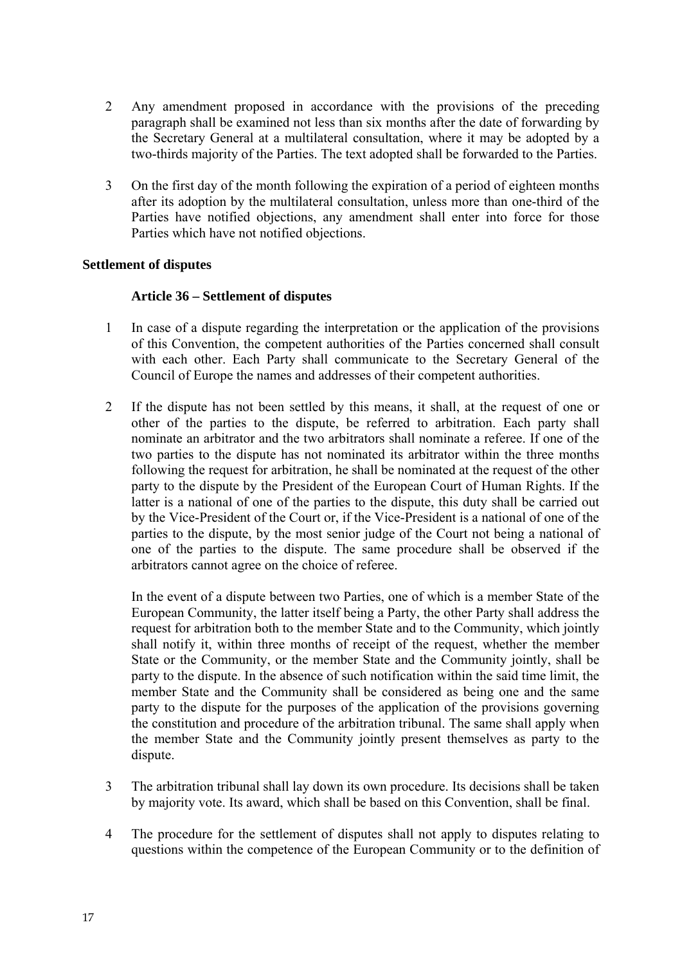- 2 Any amendment proposed in accordance with the provisions of the preceding paragraph shall be examined not less than six months after the date of forwarding by the Secretary General at a multilateral consultation, where it may be adopted by a two-thirds majority of the Parties. The text adopted shall be forwarded to the Parties.
- 3 On the first day of the month following the expiration of a period of eighteen months after its adoption by the multilateral consultation, unless more than one-third of the Parties have notified objections, any amendment shall enter into force for those Parties which have not notified objections.

### **Settlement of disputes**

### **Article 36 – Settlement of disputes**

- 1 In case of a dispute regarding the interpretation or the application of the provisions of this Convention, the competent authorities of the Parties concerned shall consult with each other. Each Party shall communicate to the Secretary General of the Council of Europe the names and addresses of their competent authorities.
- 2 If the dispute has not been settled by this means, it shall, at the request of one or other of the parties to the dispute, be referred to arbitration. Each party shall nominate an arbitrator and the two arbitrators shall nominate a referee. If one of the two parties to the dispute has not nominated its arbitrator within the three months following the request for arbitration, he shall be nominated at the request of the other party to the dispute by the President of the European Court of Human Rights. If the latter is a national of one of the parties to the dispute, this duty shall be carried out by the Vice-President of the Court or, if the Vice-President is a national of one of the parties to the dispute, by the most senior judge of the Court not being a national of one of the parties to the dispute. The same procedure shall be observed if the arbitrators cannot agree on the choice of referee.

 In the event of a dispute between two Parties, one of which is a member State of the European Community, the latter itself being a Party, the other Party shall address the request for arbitration both to the member State and to the Community, which jointly shall notify it, within three months of receipt of the request, whether the member State or the Community, or the member State and the Community jointly, shall be party to the dispute. In the absence of such notification within the said time limit, the member State and the Community shall be considered as being one and the same party to the dispute for the purposes of the application of the provisions governing the constitution and procedure of the arbitration tribunal. The same shall apply when the member State and the Community jointly present themselves as party to the dispute.

- 3 The arbitration tribunal shall lay down its own procedure. Its decisions shall be taken by majority vote. Its award, which shall be based on this Convention, shall be final.
- 4 The procedure for the settlement of disputes shall not apply to disputes relating to questions within the competence of the European Community or to the definition of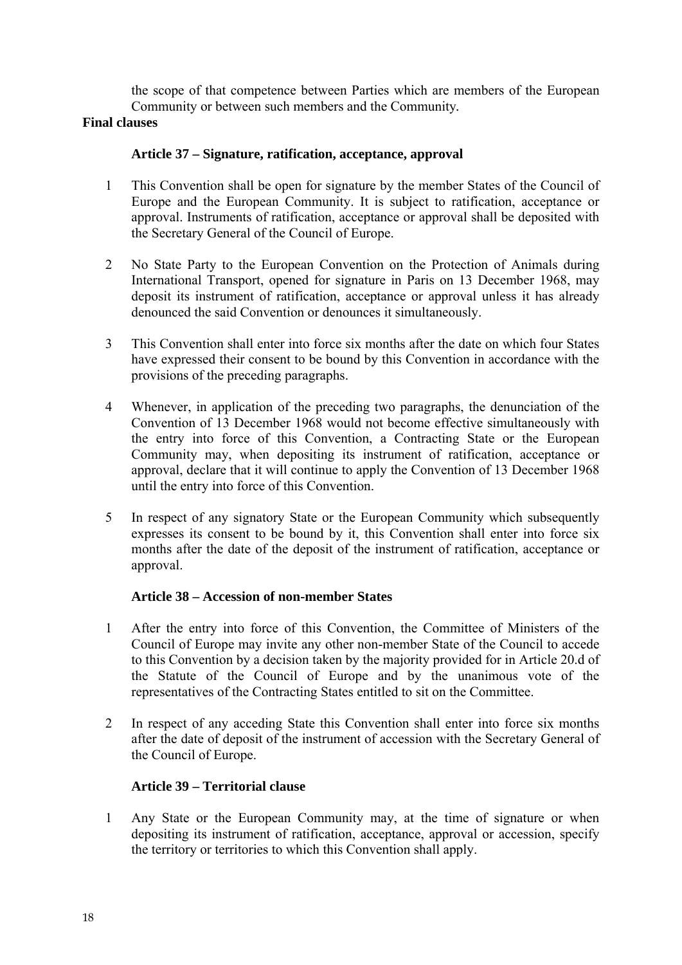the scope of that competence between Parties which are members of the European Community or between such members and the Community*.*

## **Final clauses**

## **Article 37 – Signature, ratification, acceptance, approval**

- 1 This Convention shall be open for signature by the member States of the Council of Europe and the European Community. It is subject to ratification, acceptance or approval. Instruments of ratification, acceptance or approval shall be deposited with the Secretary General of the Council of Europe.
- 2 No State Party to the European Convention on the Protection of Animals during International Transport, opened for signature in Paris on 13 December 1968, may deposit its instrument of ratification, acceptance or approval unless it has already denounced the said Convention or denounces it simultaneously.
- 3 This Convention shall enter into force six months after the date on which four States have expressed their consent to be bound by this Convention in accordance with the provisions of the preceding paragraphs.
- 4 Whenever, in application of the preceding two paragraphs, the denunciation of the Convention of 13 December 1968 would not become effective simultaneously with the entry into force of this Convention, a Contracting State or the European Community may, when depositing its instrument of ratification, acceptance or approval, declare that it will continue to apply the Convention of 13 December 1968 until the entry into force of this Convention.
- 5 In respect of any signatory State or the European Community which subsequently expresses its consent to be bound by it, this Convention shall enter into force six months after the date of the deposit of the instrument of ratification, acceptance or approval.

## **Article 38 – Accession of non-member States**

- 1 After the entry into force of this Convention, the Committee of Ministers of the Council of Europe may invite any other non-member State of the Council to accede to this Convention by a decision taken by the majority provided for in Article 20.d of the Statute of the Council of Europe and by the unanimous vote of the representatives of the Contracting States entitled to sit on the Committee.
- 2 In respect of any acceding State this Convention shall enter into force six months after the date of deposit of the instrument of accession with the Secretary General of the Council of Europe.

# **Article 39 – Territorial clause**

 1 Any State or the European Community may, at the time of signature or when depositing its instrument of ratification, acceptance, approval or accession, specify the territory or territories to which this Convention shall apply.